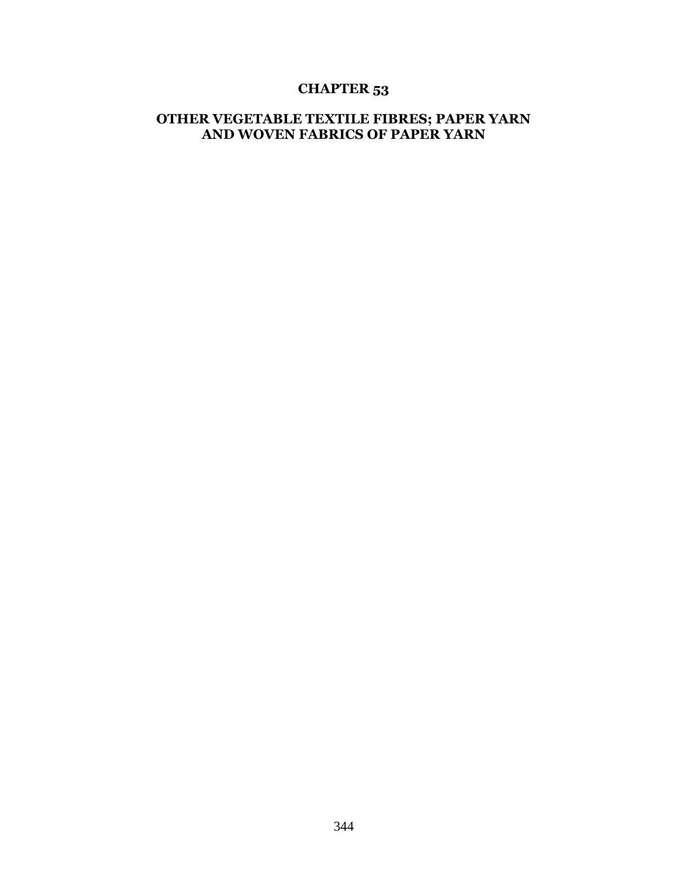## **CHAPTER 53**

## **OTHER VEGETABLE TEXTILE FIBRES; PAPER YARN AND WOVEN FABRICS OF PAPER YARN**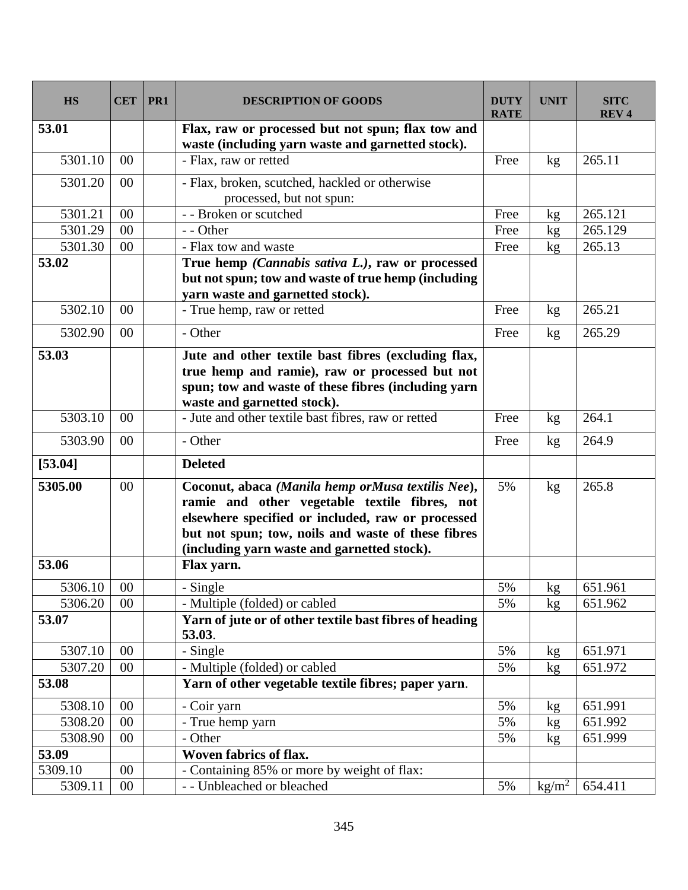| <b>HS</b> | <b>CET</b> | PR <sub>1</sub> | <b>DESCRIPTION OF GOODS</b>                                                                                                                                                                                                                                  | <b>DUTY</b><br><b>RATE</b> | <b>UNIT</b>     | <b>SITC</b><br><b>REV4</b> |
|-----------|------------|-----------------|--------------------------------------------------------------------------------------------------------------------------------------------------------------------------------------------------------------------------------------------------------------|----------------------------|-----------------|----------------------------|
| 53.01     |            |                 | Flax, raw or processed but not spun; flax tow and<br>waste (including yarn waste and garnetted stock).                                                                                                                                                       |                            |                 |                            |
| 5301.10   | 00         |                 | - Flax, raw or retted                                                                                                                                                                                                                                        | Free                       | kg              | 265.11                     |
| 5301.20   | 00         |                 | - Flax, broken, scutched, hackled or otherwise<br>processed, but not spun:                                                                                                                                                                                   |                            |                 |                            |
| 5301.21   | 00         |                 | - - Broken or scutched                                                                                                                                                                                                                                       | Free                       | kg              | 265.121                    |
| 5301.29   | 00         |                 | - - Other                                                                                                                                                                                                                                                    | Free                       | kg              | 265.129                    |
| 5301.30   | 00         |                 | - Flax tow and waste                                                                                                                                                                                                                                         | Free                       | kg              | 265.13                     |
| 53.02     |            |                 | True hemp (Cannabis sativa L.), raw or processed<br>but not spun; tow and waste of true hemp (including<br>yarn waste and garnetted stock).                                                                                                                  |                            |                 |                            |
| 5302.10   | 00         |                 | - True hemp, raw or retted                                                                                                                                                                                                                                   | Free                       | kg              | 265.21                     |
| 5302.90   | 00         |                 | - Other                                                                                                                                                                                                                                                      | Free                       | kg              | 265.29                     |
| 53.03     |            |                 | Jute and other textile bast fibres (excluding flax,<br>true hemp and ramie), raw or processed but not<br>spun; tow and waste of these fibres (including yarn<br>waste and garnetted stock).                                                                  |                            |                 |                            |
| 5303.10   | 00         |                 | - Jute and other textile bast fibres, raw or retted                                                                                                                                                                                                          | Free                       | kg              | 264.1                      |
| 5303.90   | 00         |                 | - Other                                                                                                                                                                                                                                                      | Free                       | kg              | 264.9                      |
| [53.04]   |            |                 | <b>Deleted</b>                                                                                                                                                                                                                                               |                            |                 |                            |
| 5305.00   | 00         |                 | Coconut, abaca (Manila hemp orMusa textilis Nee),<br>ramie and other vegetable textile fibres, not<br>elsewhere specified or included, raw or processed<br>but not spun; tow, noils and waste of these fibres<br>(including yarn waste and garnetted stock). | 5%                         | kg              | 265.8                      |
| 53.06     |            |                 | Flax yarn.                                                                                                                                                                                                                                                   |                            |                 |                            |
| 5306.10   | $00\,$     |                 | $\overline{-$ Single                                                                                                                                                                                                                                         | $5\%$                      | kg              | 651.961                    |
| 5306.20   | 00         |                 | - Multiple (folded) or cabled                                                                                                                                                                                                                                | 5%                         | kg              | 651.962                    |
| 53.07     |            |                 | Yarn of jute or of other textile bast fibres of heading<br>53.03.                                                                                                                                                                                            |                            |                 |                            |
| 5307.10   | 00         |                 | - Single                                                                                                                                                                                                                                                     | 5%                         | kg              | 651.971                    |
| 5307.20   | $00\,$     |                 | - Multiple (folded) or cabled                                                                                                                                                                                                                                | 5%                         | kg              | 651.972                    |
| 53.08     |            |                 | Yarn of other vegetable textile fibres; paper yarn.                                                                                                                                                                                                          |                            |                 |                            |
| 5308.10   | 00         |                 | - Coir yarn                                                                                                                                                                                                                                                  | 5%                         | kg              | 651.991                    |
| 5308.20   | 00         |                 | - True hemp yarn                                                                                                                                                                                                                                             | 5%                         | kg              | 651.992                    |
| 5308.90   | 00         |                 | - Other                                                                                                                                                                                                                                                      | 5%                         | kg              | 651.999                    |
| 53.09     |            |                 | Woven fabrics of flax.                                                                                                                                                                                                                                       |                            |                 |                            |
| 5309.10   | 00         |                 | - Containing 85% or more by weight of flax:                                                                                                                                                                                                                  |                            |                 |                            |
| 5309.11   | $00\,$     |                 | - - Unbleached or bleached                                                                                                                                                                                                                                   | 5%                         | $\text{kg/m}^2$ | 654.411                    |